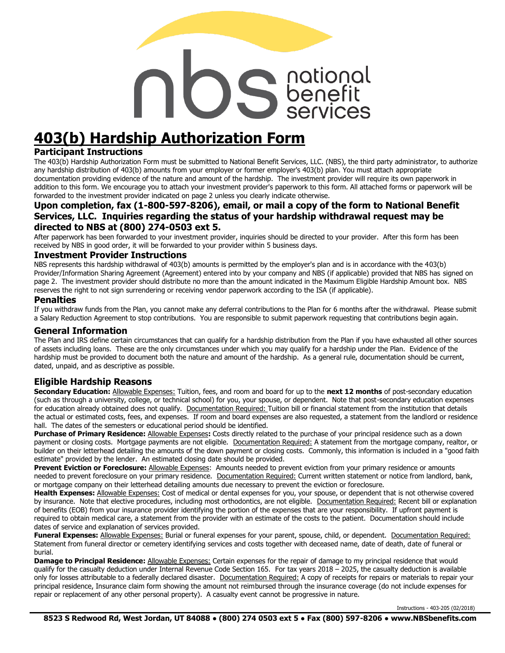# Solidaris

# **403(b) Hardship Authorization Form**

#### **Participant Instructions**

The 403(b) Hardship Authorization Form must be submitted to National Benefit Services, LLC. (NBS), the third party administrator, to authorize any hardship distribution of 403(b) amounts from your employer or former employer's 403(b) plan. You must attach appropriate documentation providing evidence of the nature and amount of the hardship. The investment provider will require its own paperwork in addition to this form. We encourage you to attach your investment provider's paperwork to this form. All attached forms or paperwork will be forwarded to the investment provider indicated on page 2 unless you clearly indicate otherwise.

#### **Upon completion, fax (1-800-597-8206), email, or mail a copy of the form to National Benefit Services, LLC. Inquiries regarding the status of your hardship withdrawal request may be directed to NBS at (800) 274-0503 ext 5.**

After paperwork has been forwarded to your investment provider, inquiries should be directed to your provider. After this form has been received by NBS in good order, it will be forwarded to your provider within 5 business days.

#### **Investment Provider Instructions**

NBS represents this hardship withdrawal of 403(b) amounts is permitted by the employer's plan and is in accordance with the 403(b) Provider/Information Sharing Agreement (Agreement) entered into by your company and NBS (if applicable) provided that NBS has signed on page 2. The investment provider should distribute no more than the amount indicated in the Maximum Eligible Hardship Amount box. NBS reserves the right to not sign surrendering or receiving vendor paperwork according to the ISA (if applicable).

#### **Penalties**

If you withdraw funds from the Plan, you cannot make any deferral contributions to the Plan for 6 months after the withdrawal. Please submit a Salary Reduction Agreement to stop contributions. You are responsible to submit paperwork requesting that contributions begin again.

#### **General Information**

The Plan and IRS define certain circumstances that can qualify for a hardship distribution from the Plan if you have exhausted all other sources of assets including loans. These are the only circumstances under which you may qualify for a hardship under the Plan. Evidence of the hardship must be provided to document both the nature and amount of the hardship. As a general rule, documentation should be current, dated, unpaid, and as descriptive as possible.

#### **Eligible Hardship Reasons**

**Secondary Education:** Allowable Expenses: Tuition, fees, and room and board for up to the **next 12 months** of post-secondary education (such as through a university, college, or technical school) for you, your spouse, or dependent. Note that post-secondary education expenses for education already obtained does not qualify. Documentation Required: Tuition bill or financial statement from the institution that details the actual or estimated costs, fees, and expenses. If room and board expenses are also requested, a statement from the landlord or residence hall. The dates of the semesters or educational period should be identified.

**Purchase of Primary Residence:** Allowable Expenses**:** Costs directly related to the purchase of your principal residence such as a down payment or closing costs. Mortgage payments are not eligible. Documentation Required: A statement from the mortgage company, realtor, or builder on their letterhead detailing the amounts of the down payment or closing costs. Commonly, this information is included in a "good faith estimate" provided by the lender. An estimated closing date should be provided.

Prevent Eviction or Foreclosure: Allowable Expenses: Amounts needed to prevent eviction from your primary residence or amounts needed to prevent foreclosure on your primary residence. Documentation Required: Current written statement or notice from landlord, bank, or mortgage company on their letterhead detailing amounts due necessary to prevent the eviction or foreclosure.

Health Expenses: Allowable Expenses: Cost of medical or dental expenses for you, your spouse, or dependent that is not otherwise covered by insurance. Note that elective procedures, including most orthodontics, are not eligible. Documentation Required: Recent bill or explanation of benefits (EOB) from your insurance provider identifying the portion of the expenses that are your responsibility. If upfront payment is required to obtain medical care, a statement from the provider with an estimate of the costs to the patient. Documentation should include dates of service and explanation of services provided.

**Funeral Expenses:** Allowable Expenses: Burial or funeral expenses for your parent, spouse, child, or dependent. Documentation Required: Statement from funeral director or cemetery identifying services and costs together with deceased name, date of death, date of funeral or burial.

**Damage to Principal Residence:** Allowable Expenses: Certain expenses for the repair of damage to my principal residence that would qualify for the casualty deduction under Internal Revenue Code Section 165. For tax years 2018 – 2025, the casualty deduction is available only for losses attributable to a federally declared disaster. Documentation Required: A copy of receipts for repairs or materials to repair your principal residence, Insurance claim form showing the amount not reimbursed through the insurance coverage (do not include expenses for repair or replacement of any other personal property). A casualty event cannot be progressive in nature.

Instructions - 403-205 (02/2018)